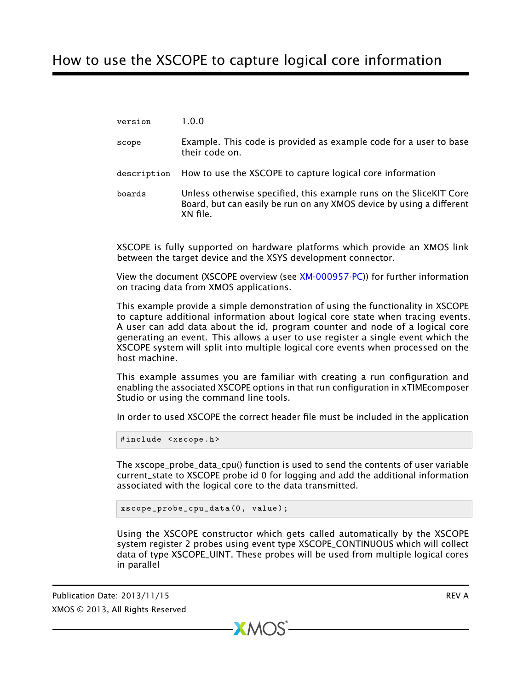## How to use the XSCOPE to capture logical core information

version 1.0.0

- scope Example. This code is provided as example code for a user to base their code on.
- description How to use the XSCOPE to capture logical core information
- boards Unless otherwise specified, this example runs on the SliceKIT Core Board, but can easily be run on any XMOS device by using a different XN file.

XSCOPE is fully supported on hardware platforms which provide an XMOS link between the target device and the XSYS development connector.

View the document (XSCOPE overview (see [XM-000957-PC\)](http://www.xmos.com/doc/XM-000957-PC/latest/page31#trace-data-with-xscope)) for further information on tracing data from XMOS applications.

This example provide a simple demonstration of using the functionality in XSCOPE to capture additional information about logical core state when tracing events. A user can add data about the id, program counter and node of a logical core generating an event. This allows a user to use register a single event which the XSCOPE system will split into multiple logical core events when processed on the host machine.

This example assumes you are familiar with creating a run configuration and enabling the associated XSCOPE options in that run configuration in xTIMEcomposer Studio or using the command line tools.

In order to used XSCOPE the correct header file must be included in the application

#include <xscope.h>

The xscope\_probe\_data\_cpu() function is used to send the contents of user variable current\_state to XSCOPE probe id 0 for logging and add the additional information associated with the logical core to the data transmitted.

xscope\_probe\_cpu\_data (0 , value );

Using the XSCOPE constructor which gets called automatically by the XSCOPE system register 2 probes using event type XSCOPE\_CONTINUOUS which will collect data of type XSCOPE\_UINT. These probes will be used from multiple logical cores in parallel

 $X$ M $(S)$ 

Publication Date: 2013/11/15 **REV A** XMOS © 2013, All Rights Reserved